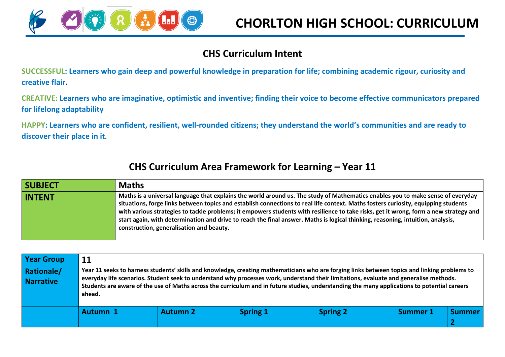

#### **CHS Curriculum Intent**

**SUCCESSFUL: Learners who gain deep and powerful knowledge in preparation for life; combining academic rigour, curiosity and creative flair.**

**CREATIVE: Learners who are imaginative, optimistic and inventive; finding their voice to become effective communicators prepared for lifelong adaptability**

**HAPPY: Learners who are confident, resilient, well-rounded citizens; they understand the world's communities and are ready to discover their place in it.**

#### **CHS Curriculum Area Framework for Learning – Year 11**

| <b>SUBJECT</b> | <b>Maths</b>                                                                                                                                                                                                                                                                                                                                                                                                                                                                                                                                                                                  |
|----------------|-----------------------------------------------------------------------------------------------------------------------------------------------------------------------------------------------------------------------------------------------------------------------------------------------------------------------------------------------------------------------------------------------------------------------------------------------------------------------------------------------------------------------------------------------------------------------------------------------|
| <b>INTENT</b>  | Maths is a universal language that explains the world around us. The study of Mathematics enables you to make sense of everyday<br>situations, forge links between topics and establish connections to real life context. Maths fosters curiosity, equipping students<br>with various strategies to tackle problems; it empowers students with resilience to take risks, get it wrong, form a new strategy and<br>start again, with determination and drive to reach the final answer. Maths is logical thinking, reasoning, intuition, analysis,<br>construction, generalisation and beauty. |

| <b>Year Group</b>                     | 11       |                 |                 |                                                                                                                                                                                                                                                                                                                                                                                                                                         |                 |               |
|---------------------------------------|----------|-----------------|-----------------|-----------------------------------------------------------------------------------------------------------------------------------------------------------------------------------------------------------------------------------------------------------------------------------------------------------------------------------------------------------------------------------------------------------------------------------------|-----------------|---------------|
| <b>Rationale/</b><br><b>Narrative</b> | ahead.   |                 |                 | Year 11 seeks to harness students' skills and knowledge, creating mathematicians who are forging links between topics and linking problems to<br>everyday life scenarios. Student seek to understand why processes work, understand their limitations, evaluate and generalise methods.<br>Students are aware of the use of Maths across the curriculum and in future studies, understanding the many applications to potential careers |                 |               |
|                                       | Autumn 1 | <b>Autumn 2</b> | <b>Spring 1</b> | <b>Spring 2</b>                                                                                                                                                                                                                                                                                                                                                                                                                         | <b>Summer 1</b> | <b>Summer</b> |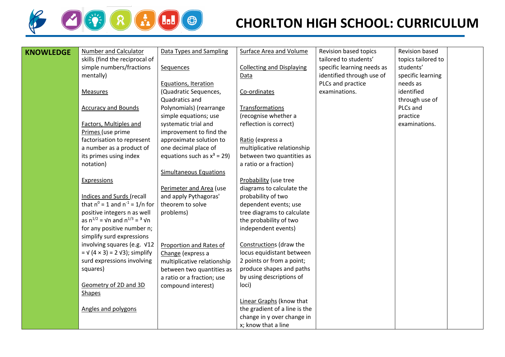

# **CHORLTON HIGH SCHOOL: CURRICULUM**

| <b>KNOWLEDGE</b> | Number and Calculator                                    | Data Types and Sampling                          | Surface Area and Volume                              | Revision based topics      | Revision based     |  |
|------------------|----------------------------------------------------------|--------------------------------------------------|------------------------------------------------------|----------------------------|--------------------|--|
|                  | skills (find the reciprocal of                           |                                                  |                                                      | tailored to students'      | topics tailored to |  |
|                  | simple numbers/fractions                                 | Sequences                                        | <b>Collecting and Displaying</b>                     | specific learning needs as | students'          |  |
| mentally)        |                                                          |                                                  | Data                                                 | identified through use of  | specific learning  |  |
|                  |                                                          | Equations, Iteration                             |                                                      | PLCs and practice          | needs as           |  |
| Measures         |                                                          | (Quadratic Sequences,                            | Co-ordinates                                         | examinations.              | identified         |  |
|                  |                                                          | Quadratics and                                   |                                                      |                            | through use of     |  |
|                  | <b>Accuracy and Bounds</b>                               | Polynomials) (rearrange                          | Transformations                                      |                            | PLCs and           |  |
|                  |                                                          | simple equations; use                            | (recognise whether a                                 |                            | practice           |  |
|                  | Factors, Multiples and                                   | systematic trial and                             | reflection is correct)                               |                            | examinations.      |  |
|                  | Primes (use prime                                        | improvement to find the                          |                                                      |                            |                    |  |
|                  | factorisation to represent                               | approximate solution to                          | Ratio (express a                                     |                            |                    |  |
|                  | a number as a product of                                 | one decimal place of                             | multiplicative relationship                          |                            |                    |  |
|                  | its primes using index                                   | equations such as $x^3 = 29$ )                   | between two quantities as                            |                            |                    |  |
| notation)        |                                                          |                                                  | a ratio or a fraction)                               |                            |                    |  |
|                  |                                                          | <b>Simultaneous Equations</b>                    |                                                      |                            |                    |  |
| Expressions      |                                                          |                                                  | Probability (use tree                                |                            |                    |  |
|                  |                                                          | Perimeter and Area (use                          | diagrams to calculate the                            |                            |                    |  |
|                  | Indices and Surds (recall                                | and apply Pythagoras'                            | probability of two                                   |                            |                    |  |
|                  | that $n^0 = 1$ and $n^{-1} = 1/n$ for                    | theorem to solve                                 | dependent events; use                                |                            |                    |  |
|                  | positive integers n as well                              | problems)                                        | tree diagrams to calculate                           |                            |                    |  |
|                  | as $n^{1/2}$ = Vn and $n^{1/3}$ = <sup>3</sup> Vn        |                                                  | the probability of two                               |                            |                    |  |
|                  | for any positive number n;                               |                                                  | independent events)                                  |                            |                    |  |
|                  | simplify surd expressions<br>involving squares (e.g. V12 |                                                  |                                                      |                            |                    |  |
|                  | $= \sqrt{(4 \times 3)} = 2 \sqrt{3}$ ; simplify          | Proportion and Rates of                          | Constructions (draw the<br>locus equidistant between |                            |                    |  |
|                  | surd expressions involving                               | Change (express a<br>multiplicative relationship | 2 points or from a point;                            |                            |                    |  |
| squares)         |                                                          | between two quantities as                        | produce shapes and paths                             |                            |                    |  |
|                  |                                                          | a ratio or a fraction; use                       | by using descriptions of                             |                            |                    |  |
|                  | Geometry of 2D and 3D                                    | compound interest)                               | loci)                                                |                            |                    |  |
| <b>Shapes</b>    |                                                          |                                                  |                                                      |                            |                    |  |
|                  |                                                          |                                                  | Linear Graphs (know that                             |                            |                    |  |
|                  | Angles and polygons                                      |                                                  | the gradient of a line is the                        |                            |                    |  |
|                  |                                                          |                                                  | change in y over change in                           |                            |                    |  |
|                  |                                                          |                                                  | x; know that a line                                  |                            |                    |  |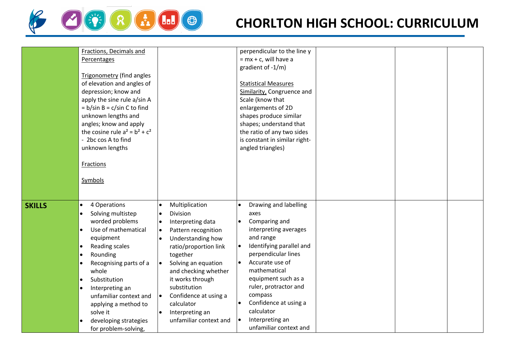

|                            | Fractions, Decimals and           |                                    | perpendicular to the line y           |  |  |
|----------------------------|-----------------------------------|------------------------------------|---------------------------------------|--|--|
|                            | Percentages                       |                                    | $= mx + c$ , will have a              |  |  |
|                            |                                   |                                    | gradient of -1/m)                     |  |  |
|                            | <b>Trigonometry (find angles</b>  |                                    |                                       |  |  |
|                            | of elevation and angles of        |                                    | <b>Statistical Measures</b>           |  |  |
|                            | depression; know and              |                                    | Similarity, Congruence and            |  |  |
|                            | apply the sine rule a/sin A       |                                    | Scale (know that                      |  |  |
|                            | $= b/sin B = c/sin C$ to find     |                                    | enlargements of 2D                    |  |  |
|                            | unknown lengths and               |                                    | shapes produce similar                |  |  |
|                            | angles; know and apply            |                                    | shapes; understand that               |  |  |
|                            | the cosine rule $a^2 = b^2 + c^2$ |                                    | the ratio of any two sides            |  |  |
|                            | - 2bc cos A to find               |                                    | is constant in similar right-         |  |  |
|                            | unknown lengths                   |                                    |                                       |  |  |
|                            |                                   |                                    | angled triangles)                     |  |  |
|                            |                                   |                                    |                                       |  |  |
|                            | <b>Fractions</b>                  |                                    |                                       |  |  |
|                            |                                   |                                    |                                       |  |  |
|                            | Symbols                           |                                    |                                       |  |  |
|                            |                                   |                                    |                                       |  |  |
|                            |                                   |                                    |                                       |  |  |
| <b>SKILLS</b><br>$\bullet$ | 4 Operations                      | Multiplication<br>$\bullet$        | Drawing and labelling<br>$\bullet$    |  |  |
| $\bullet$                  | Solving multistep                 | <b>Division</b><br>$\bullet$       | axes                                  |  |  |
|                            | worded problems                   | Interpreting data<br>$\bullet$     | Comparing and<br>$\bullet$            |  |  |
| $\bullet$                  | Use of mathematical               | Pattern recognition<br>$\bullet$   | interpreting averages                 |  |  |
|                            | equipment                         | Understanding how<br>$\bullet$     | and range                             |  |  |
| $\bullet$                  | Reading scales                    | ratio/proportion link              | Identifying parallel and<br>$\bullet$ |  |  |
| $\bullet$                  | Rounding                          | together                           | perpendicular lines                   |  |  |
| $\bullet$                  | Recognising parts of a            | Solving an equation<br>$\bullet$   | Accurate use of<br>$\bullet$          |  |  |
|                            |                                   |                                    | mathematical                          |  |  |
|                            | whole                             | and checking whether               |                                       |  |  |
| $\bullet$                  | Substitution                      | it works through                   | equipment such as a                   |  |  |
| $\bullet$                  | Interpreting an                   | substitution                       | ruler, protractor and                 |  |  |
|                            | unfamiliar context and            | Confidence at using a<br>$\bullet$ | compass                               |  |  |
|                            | applying a method to              | calculator                         | Confidence at using a                 |  |  |
|                            | solve it                          | Interpreting an<br>$\bullet$       | calculator                            |  |  |
|                            | developing strategies             | unfamiliar context and             | Interpreting an<br>$\bullet$          |  |  |
|                            | for problem-solving,              |                                    | unfamiliar context and                |  |  |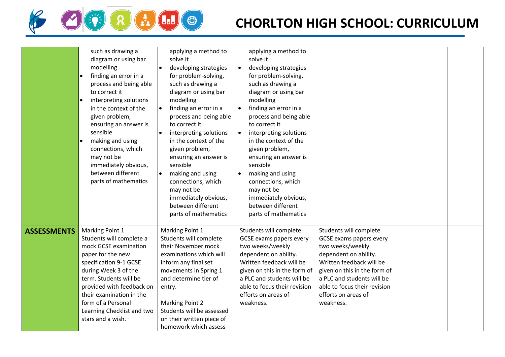

# **CHORLTON HIGH SCHOOL: CURRICULUM**

|                    | such as drawing a<br>diagram or using bar<br>modelling<br>finding an error in a<br>process and being able<br>to correct it<br>interpreting solutions<br>in the context of the<br>given problem,<br>ensuring an answer is<br>sensible<br>making and using<br>connections, which<br>may not be<br>immediately obvious,<br>between different<br>parts of mathematics | applying a method to<br>solve it<br>developing strategies<br>for problem-solving,<br>such as drawing a<br>diagram or using bar<br>modelling<br>finding an error in a<br>$\bullet$<br>process and being able<br>to correct it<br>interpreting solutions<br>$\bullet$<br>in the context of the<br>given problem,<br>ensuring an answer is<br>sensible<br>making and using<br>connections, which<br>may not be<br>immediately obvious,<br>between different<br>parts of mathematics | applying a method to<br>solve it<br>developing strategies<br>$\bullet$<br>for problem-solving,<br>such as drawing a<br>diagram or using bar<br>modelling<br>finding an error in a<br>$\bullet$<br>process and being able<br>to correct it<br>interpreting solutions<br>in the context of the<br>given problem,<br>ensuring an answer is<br>sensible<br>making and using<br>connections, which<br>may not be<br>immediately obvious,<br>between different<br>parts of mathematics |                                                                                                                                                                                                                                                                     |  |
|--------------------|-------------------------------------------------------------------------------------------------------------------------------------------------------------------------------------------------------------------------------------------------------------------------------------------------------------------------------------------------------------------|----------------------------------------------------------------------------------------------------------------------------------------------------------------------------------------------------------------------------------------------------------------------------------------------------------------------------------------------------------------------------------------------------------------------------------------------------------------------------------|----------------------------------------------------------------------------------------------------------------------------------------------------------------------------------------------------------------------------------------------------------------------------------------------------------------------------------------------------------------------------------------------------------------------------------------------------------------------------------|---------------------------------------------------------------------------------------------------------------------------------------------------------------------------------------------------------------------------------------------------------------------|--|
| <b>ASSESSMENTS</b> | Marking Point 1<br>Students will complete a<br>mock GCSE examination<br>paper for the new<br>specification 9-1 GCSE<br>during Week 3 of the<br>term. Students will be<br>provided with feedback on<br>their examination in the<br>form of a Personal<br>Learning Checklist and two<br>stars and a wish.                                                           | Marking Point 1<br>Students will complete<br>their November mock<br>examinations which will<br>inform any final set<br>movements in Spring 1<br>and determine tier of<br>entry.<br>Marking Point 2<br>Students will be assessed<br>on their written piece of<br>homework which assess                                                                                                                                                                                            | Students will complete<br>GCSE exams papers every<br>two weeks/weekly<br>dependent on ability.<br>Written feedback will be<br>given on this in the form of<br>a PLC and students will be<br>able to focus their revision<br>efforts on areas of<br>weakness.                                                                                                                                                                                                                     | Students will complete<br><b>GCSE exams papers every</b><br>two weeks/weekly<br>dependent on ability.<br>Written feedback will be<br>given on this in the form of<br>a PLC and students will be<br>able to focus their revision<br>efforts on areas of<br>weakness. |  |